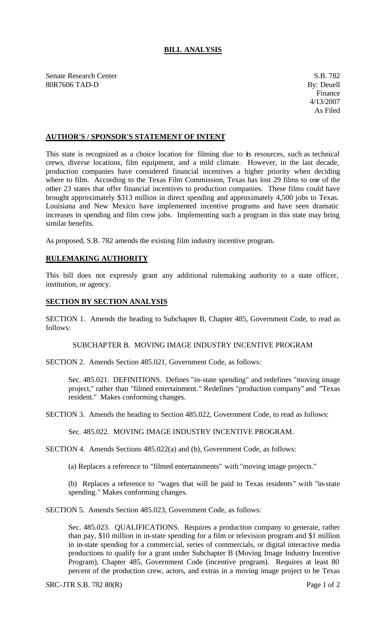## **BILL ANALYSIS**

Senate Research Center S.B. 782 80R7606 TAD-D By: Deuell

## **AUTHOR'S / SPONSOR'S STATEMENT OF INTENT**

This state is recognized as a choice location for filming due to its resources, such as technical crews, diverse locations, film equipment, and a mild climate. However, in the last decade, production companies have considered financial incentives a higher priority when deciding where to film. According to the Texas Film Commission, Texas has lost 29 films to one of the other 23 states that offer financial incentives to production companies. These films could have brought approximately \$313 million in direct spending and approximately 4,500 jobs to Texas. Louisiana and New Mexico have implemented incentive programs and have seen dramatic increases in spending and film crew jobs. Implementing such a program in this state may bring similar benefits.

As proposed, S.B. 782 amends the existing film industry incentive program.

## **RULEMAKING AUTHORITY**

This bill does not expressly grant any additional rulemaking authority to a state officer, institution, or agency.

## **SECTION BY SECTION ANALYSIS**

SECTION 1. Amends the heading to Subchapter B, Chapter 485, Government Code, to read as follows:

SUBCHAPTER B. MOVING IMAGE INDUSTRY INCENTIVE PROGRAM

SECTION 2. Amends Section 485.021, Government Code, as follows:

Sec. 485.021. DEFINITIONS. Defines "in-state spending" and redefines "moving image project," rather than "filmed entertainment." Redefines "production company" and "Texas resident." Makes conforming changes.

SECTION 3. Amends the heading to Section 485.022, Government Code, to read as follows:

Sec. 485.022. MOVING IMAGE INDUSTRY INCENTIVE PROGRAM.

SECTION 4. Amends Sections 485.022(a) and (b), Government Code, as follows:

(a) Replaces a reference to "filmed entertainments" with "moving image projects."

(b) Replaces a reference to "wages that will be paid to Texas residents" with "in-state spending." Makes conforming changes.

SECTION 5. Amends Section 485.023, Government Code, as follows:

Sec. 485.023. QUALIFICATIONS. Requires a production company to generate, rather than pay, \$10 million in in-state spending for a film or television program and \$1 million in in-state spending for a commercial, series of commercials, or digital interactive media productions to qualify for a grant under Subchapter B (Moving Image Industry Incentive Program), Chapter 485, Government Code (incentive program). Requires at least 80 percent of the production crew, actors, and extras in a moving image project to be Texas